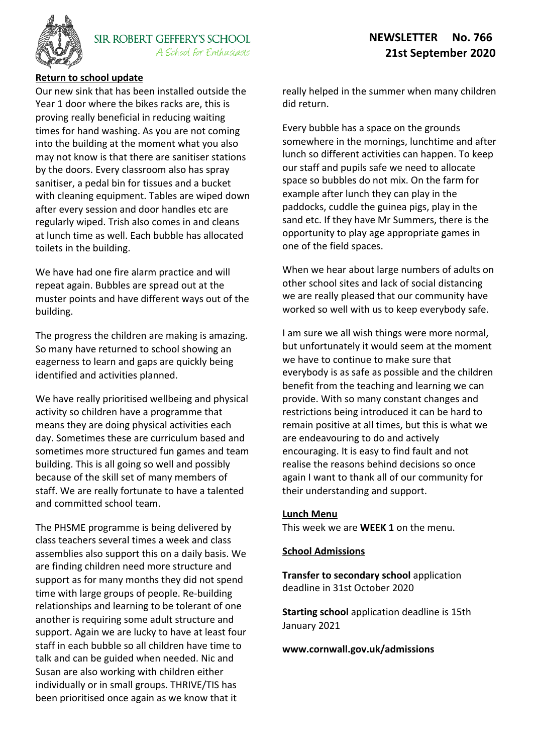

# **Return to school update**

Our new sink that has been installed outside the Year 1 door where the bikes racks are, this is proving really beneficial in reducing waiting times for hand washing. As you are not coming into the building at the moment what you also may not know is that there are sanitiser stations by the doors. Every classroom also has spray sanitiser, a pedal bin for tissues and a bucket with cleaning equipment. Tables are wiped down after every session and door handles etc are regularly wiped. Trish also comes in and cleans at lunch time as well. Each bubble has allocated toilets in the building.

We have had one fire alarm practice and will repeat again. Bubbles are spread out at the muster points and have different ways out of the building.

The progress the children are making is amazing. So many have returned to school showing an eagerness to learn and gaps are quickly being identified and activities planned.

We have really prioritised wellbeing and physical activity so children have a programme that means they are doing physical activities each day. Sometimes these are curriculum based and sometimes more structured fun games and team building. This is all going so well and possibly because of the skill set of many members of staff. We are really fortunate to have a talented and committed school team.

The PHSME programme is being delivered by class teachers several times a week and class assemblies also support this on a daily basis. We are finding children need more structure and support as for many months they did not spend time with large groups of people. Re-building relationships and learning to be tolerant of one another is requiring some adult structure and support. Again we are lucky to have at least four staff in each bubble so all children have time to talk and can be guided when needed. Nic and Susan are also working with children either individually or in small groups. THRIVE/TIS has been prioritised once again as we know that it

really helped in the summer when many children did return.

Every bubble has a space on the grounds somewhere in the mornings, lunchtime and after lunch so different activities can happen. To keep our staff and pupils safe we need to allocate space so bubbles do not mix. On the farm for example after lunch they can play in the paddocks, cuddle the guinea pigs, play in the sand etc. If they have Mr Summers, there is the opportunity to play age appropriate games in one of the field spaces.

When we hear about large numbers of adults on other school sites and lack of social distancing we are really pleased that our community have worked so well with us to keep everybody safe.

I am sure we all wish things were more normal, but unfortunately it would seem at the moment we have to continue to make sure that everybody is as safe as possible and the children benefit from the teaching and learning we can provide. With so many constant changes and restrictions being introduced it can be hard to remain positive at all times, but this is what we are endeavouring to do and actively encouraging. It is easy to find fault and not realise the reasons behind decisions so once again I want to thank all of our community for their understanding and support.

#### **Lunch Menu**

This week we are **WEEK 1** on the menu.

#### **School Admissions**

**Transfer to secondary school** application deadline in 31st October 2020

**Starting school** application deadline is 15th January 2021

**www.cornwall.gov.uk/admissions**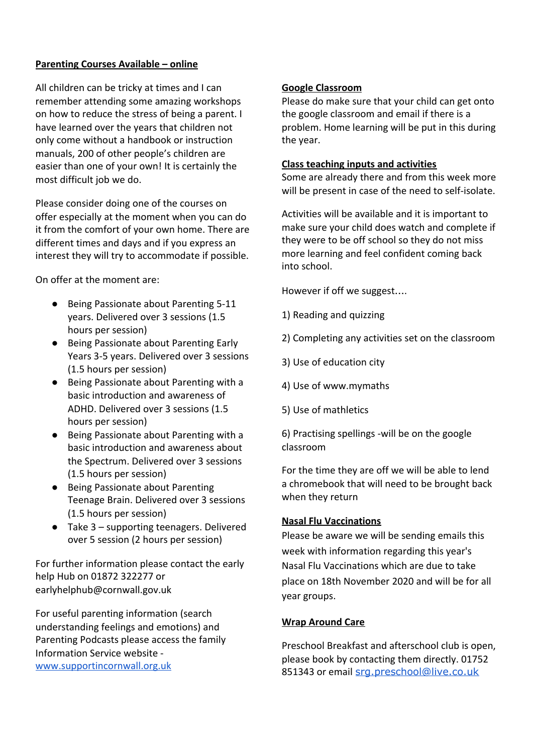## **Parenting Courses Available – online**

All children can be tricky at times and I can remember attending some amazing workshops on how to reduce the stress of being a parent. I have learned over the years that children not only come without a handbook or instruction manuals, 200 of other people's children are easier than one of your own! It is certainly the most difficult job we do.

Please consider doing one of the courses on offer especially at the moment when you can do it from the comfort of your own home. There are different times and days and if you express an interest they will try to accommodate if possible.

On offer at the moment are:

- Being Passionate about Parenting 5-11 years. Delivered over 3 sessions (1.5 hours per session)
- Being Passionate about Parenting Early Years 3-5 years. Delivered over 3 sessions (1.5 hours per session)
- Being Passionate about Parenting with a basic introduction and awareness of ADHD. Delivered over 3 sessions (1.5 hours per session)
- Being Passionate about Parenting with a basic introduction and awareness about the Spectrum. Delivered over 3 sessions (1.5 hours per session)
- Being Passionate about Parenting Teenage Brain. Delivered over 3 sessions (1.5 hours per session)
- Take 3 supporting teenagers. Delivered over 5 session (2 hours per session)

For further information please contact the early help Hub on 01872 322277 or earlyhelphub@cornwall.gov.uk

For useful parenting information (search understanding feelings and emotions) and Parenting Podcasts please access the family Information Service website [www.supportincornwall.org.uk](http://www.supportincornwall.org.uk/)

### **Google Classroom**

Please do make sure that your child can get onto the google classroom and email if there is a problem. Home learning will be put in this during the year.

### **Class teaching inputs and activities**

Some are already there and from this week more will be present in case of the need to self-isolate.

Activities will be available and it is important to make sure your child does watch and complete if they were to be off school so they do not miss more learning and feel confident coming back into school.

However if off we suggest….

- 1) Reading and quizzing
- 2) Completing any activities set on the classroom
- 3) Use of education city
- 4) Use of www.mymaths
- 5) Use of mathletics

6) Practising spellings -will be on the google classroom

For the time they are off we will be able to lend a chromebook that will need to be brought back when they return

#### **Nasal Flu Vaccinations**

Please be aware we will be sending emails this week with information regarding this year's Nasal Flu Vaccinations which are due to take place on 18th November 2020 and will be for all year groups.

#### **Wrap Around Care**

Preschool Breakfast and afterschool club is open, please book by contacting them directly. 01752 851343 or email [srg.preschool@live.co.uk](mailto:srg.preschool@live.co.uk)